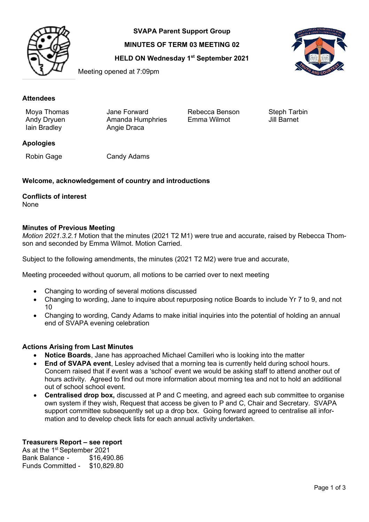

**SVAPA Parent Support Group**

**MINUTES OF TERM 03 MEETING 02**

**HELD ON Wednesday 1st September 2021**



Meeting opened at 7:09pm

## **Attendees**

Moya Thomas Jane Forward Rebecca Benson Steph Tarbin<br>Andy Dryuen Amanda Humphries Emma Wilmot Jill Bar Andy Dryuen Amanda Humphries<br>
Iain Bradley **Angle Draca** Angie Draca

## **Apologies**

Robin Gage Candy Adams

## **Welcome, acknowledgement of country and introductions**

# **Conflicts of interest**

None

#### **Minutes of Previous Meeting**

*Motion 2021.3.2.1* Motion that the minutes (2021 T2 M1) were true and accurate, raised by Rebecca Thomson and seconded by Emma Wilmot. Motion Carried.

Subject to the following amendments, the minutes (2021 T2 M2) were true and accurate,

Meeting proceeded without quorum, all motions to be carried over to next meeting

- Changing to wording of several motions discussed
- Changing to wording, Jane to inquire about repurposing notice Boards to include Yr 7 to 9, and not 10
- Changing to wording, Candy Adams to make initial inquiries into the potential of holding an annual end of SVAPA evening celebration

## **Actions Arising from Last Minutes**

- **Notice Boards**, Jane has approached Michael Camilleri who is looking into the matter
- **End of SVAPA event**, Lesley advised that a morning tea is currently held during school hours. Concern raised that if event was a 'school' event we would be asking staff to attend another out of hours activity. Agreed to find out more information about morning tea and not to hold an additional out of school school event.
- **Centralised drop box,** discussed at P and C meeting, and agreed each sub committee to organise own system if they wish, Request that access be given to P and C, Chair and Secretary. SVAPA support committee subsequently set up a drop box. Going forward agreed to centralise all information and to develop check lists for each annual activity undertaken.

## **Treasurers Report – see report**

As at the 1<sup>st</sup> September 2021<br>Bank Balance - \$16,490.86 Bank Balance -Funds Committed - \$10,829.80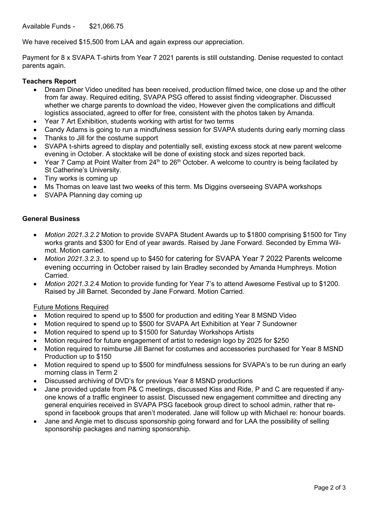Available Funds - \$21,066.75

We have received \$15,500 from LAA and again express our appreciation.

Payment for 8 x SVAPA T-shirts from Year 7 2021 parents is still outstanding. Denise requested to contact parents again.

#### **Teachers Report**

- Dream Diner Video unedited has been received, production filmed twice, one close up and the other from far away. Required editing, SVAPA PSG offered to assist finding videographer. Discussed whether we charge parents to download the video, However given the complications and difficult logistics associated, agreed to offer for free, consistent with the photos taken by Amanda.
- Year 7 Art Exhibition, students working with artist for two terms
- Candy Adams is going to run a mindfulness session for SVAPA students during early morning class
- Thanks to Jill for the costume support
- SVAPA t-shirts agreed to display and potentially sell, existing excess stock at new parent welcome evening in October. A stocktake will be done of existing stock and sizes reported back.
- Year 7 Camp at Point Walter from  $24<sup>th</sup>$  to  $26<sup>th</sup>$  October. A welcome to country is being facilated by St Catherine's University.
- Tiny works is coming up
- Ms Thomas on leave last two weeks of this term. Ms Diggins overseeing SVAPA workshops
- SVAPA Planning day coming up

#### **General Business**

- *Motion 2021.3.2.2* Motion to provide SVAPA Student Awards up to \$1800 comprising \$1500 for Tiny works grants and \$300 for End of year awards. Raised by Jane Forward. Seconded by Emma Wilmot. Motion carried.
- *Motion 2021.3.2.3*. to spend up to \$450 for catering for SVAPA Year 7 2022 Parents welcome evening occurring in October raised by Iain Bradley seconded by Amanda Humphreys. Motion Carried.
- *Motion 2021.3.2.*4 Motion to provide funding for Year 7's to attend Awesome Festival up to \$1200. Raised by Jill Barnet. Seconded by Jane Forward. Motion Carried.

#### Future Motions Required

- Motion required to spend up to \$500 for production and editing Year 8 MSND Video
- Motion required to spend up to \$500 for SVAPA Art Exhibition at Year 7 Sundowner
- Motion required to spend up to \$1500 for Saturday Workshops Artists
- Motion required for future engagement of artist to redesign logo by 2025 for \$250
- Motion required to reimburse Jill Barnet for costumes and accessories purchased for Year 8 MSND Production up to \$150
- Motion required to spend up to \$500 for mindfulness sessions for SVAPA's to be run during an early morning class in Term 2
- Discussed archiving of DVD's for previous Year 8 MSND productions
- Jane provided update from P& C meetings, discussed Kiss and Ride, P and C are requested if anyone knows of a traffic engineer to assist. Discussed new engagement committee and directing any general enquiries received in SVAPA PSG facebook group direct to school admin, rather that respond in facebook groups that aren't moderated. Jane will follow up with Michael re: honour boards.
- Jane and Angie met to discuss sponsorship going forward and for LAA the possibility of selling sponsorship packages and naming sponsorship.